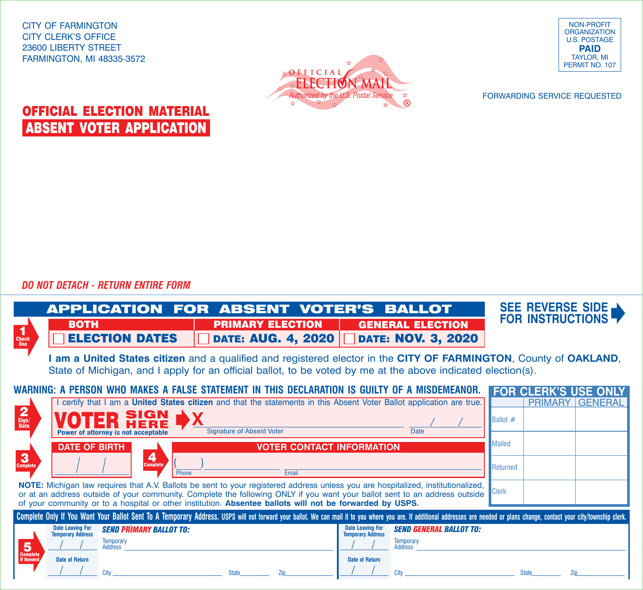CITY OF FARMINGTON CITY CLERK'S OFFICE 23600 LIBERTY STREET FARMINGTON, MI 48335-3572



NON-PROFIT **ORGANIZATION** U.S. POSTAGE **PAID** TAYLOR, MI PERMIT NO. 107

FORWARDING SERVICE REQUESTED

## OFFICIAL ELECTION MATERIAL ABSENT VOTER APPLICATION

*DO NOT DETACH - RETURN ENTIRE FORM*

|                                                                                                                                                                                                                                                                                                                                                                            | <b>APPLICATION FOR ABSENT VOTER'S BALLOT</b><br><b>BOTH</b>                                                                                                                                                                       | <b>PRIMARY ELECTION</b>   | <b>GENERAL ELECTION</b>                                                                                                     | SEE REVERSE SIDE<br><b>FOR INSTRUCTIONS</b> |  |
|----------------------------------------------------------------------------------------------------------------------------------------------------------------------------------------------------------------------------------------------------------------------------------------------------------------------------------------------------------------------------|-----------------------------------------------------------------------------------------------------------------------------------------------------------------------------------------------------------------------------------|---------------------------|-----------------------------------------------------------------------------------------------------------------------------|---------------------------------------------|--|
| 1<br>Check<br>0 <sub>ne</sub>                                                                                                                                                                                                                                                                                                                                              | <b>ELECTION DATES</b>                                                                                                                                                                                                             | <b>DATE: AUG. 4, 2020</b> | <b>DATE: NOV. 3, 2020</b>                                                                                                   |                                             |  |
|                                                                                                                                                                                                                                                                                                                                                                            | I am a United States citizen and a qualified and registered elector in the CITY OF FARMINGTON, County of OAKLAND,<br>State of Michigan, and I apply for an official ballot, to be voted by me at the above indicated election(s). |                           |                                                                                                                             |                                             |  |
| WARNING: A PERSON WHO MAKES A FALSE STATEMENT IN THIS DECLARATION IS GUILTY OF A MISDEMEANOR.<br><b>FOR CLERK'S USE ONLY</b>                                                                                                                                                                                                                                               |                                                                                                                                                                                                                                   |                           |                                                                                                                             |                                             |  |
|                                                                                                                                                                                                                                                                                                                                                                            |                                                                                                                                                                                                                                   |                           | certify that I am a United States citizen and that the statements in this Absent Voter Ballot application are true.         | <b>PRIMARY GENERAL</b>                      |  |
| $\frac{2}{\frac{Sign}{Date}}$                                                                                                                                                                                                                                                                                                                                              | SIGN<br>Power of attorney is not acceptable                                                                                                                                                                                       | Signature of Absent Voter | <b>Date</b>                                                                                                                 | <b>Ballot</b> $#$                           |  |
|                                                                                                                                                                                                                                                                                                                                                                            | <b>DATE OF BIRTH</b><br><b>VOTER CONTACT INFORMATION</b>                                                                                                                                                                          |                           |                                                                                                                             | <b>Mailed</b>                               |  |
| $\mathbf{3}$<br><b>Complete</b>                                                                                                                                                                                                                                                                                                                                            | 4<br><b>Complete</b><br>Email<br>Phone                                                                                                                                                                                            |                           |                                                                                                                             | Returned                                    |  |
| NOTE: Michigan law requires that A.V. Ballots be sent to your registered address unless you are hospitalized, institutionalized,<br>or at an address outside of your community. Complete the following ONLY if you want your ballot sent to an address outside<br>of your community or to a hospital or other institution. Absentee ballots will not be forwarded by USPS. |                                                                                                                                                                                                                                   |                           |                                                                                                                             | <b>Clerk</b>                                |  |
| Complete Only If You Want Your Ballot Sent To A Temporary Address. USPS will not forward your ballot. We can mail it to you where you are. If additional addresses are needed or plans change, contact your city/township cler                                                                                                                                             |                                                                                                                                                                                                                                   |                           |                                                                                                                             |                                             |  |
| 5                                                                                                                                                                                                                                                                                                                                                                          | <b>Date Leaving For</b><br><b>SEND PRIMARY BALLOT TO:</b><br><b>Temporary Address</b><br><b>Temporary</b><br>Address                                                                                                              |                           | <b>Date Leaving For</b><br><b>SEND GENERAL BALLOT TO:</b><br><b>Temporary Address</b><br><b>Temporary</b><br><b>Address</b> |                                             |  |
| <b>Complete</b><br><b>If Needed</b>                                                                                                                                                                                                                                                                                                                                        | <b>Date of Return</b><br>City                                                                                                                                                                                                     | <b>State</b><br>Zip       | <b>Date of Return</b><br>City                                                                                               | <b>State</b><br>7in                         |  |